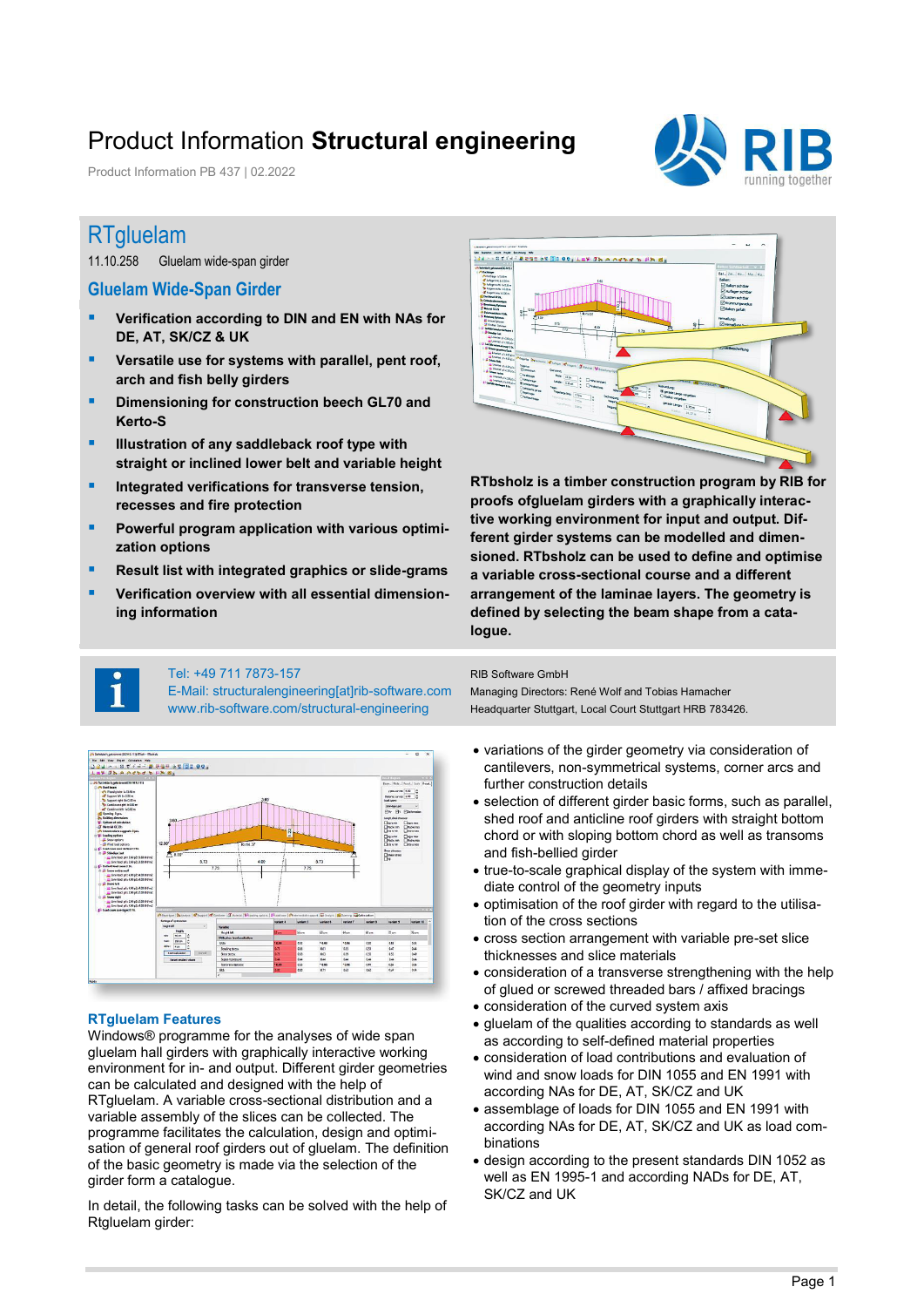## Product Information **Structural engineering**

Product Information PB 437 | 02.2022



### RTgluelam

11.10.258 Gluelam wide-span girder

### **Gluelam Wide-Span Girder**

- **Verification according to DIN and EN with NAs for DE, AT, SK/CZ & UK**
- **Versatile use for systems with parallel, pent roof, arch and fish belly girders**
- **E** Dimensioning for construction beech GL70 and **Kerto-S**
- **Illustration of any saddleback roof type with straight or inclined lower belt and variable height**
- **Integrated verifications for transverse tension. recesses and fire protection**
- **Powerful program application with various optimization options**
- **Result list with integrated graphics or slide-grams**
- **Verification overview with all essential dimensioning information**



**RTbsholz is a timber construction program by RIB for proofs ofgluelam girders with a graphically interactive working environment for input and output. Different girder systems can be modelled and dimensioned. RTbsholz can be used to define and optimise a variable cross-sectional course and a different arrangement of the laminae layers. The geometry is defined by selecting the beam shape from a catalogue.** 



#### Tel: +49 711 7873-157

E-Mail: structuralengineering[at]rib-software.com www.rib-software.com/structural-engineering



#### **RTgluelam Features**

Windows® programme for the analyses of wide span gluelam hall girders with graphically interactive working environment for in- and output. Different girder geometries can be calculated and designed with the help of RTgluelam. A variable cross-sectional distribution and a variable assembly of the slices can be collected. The programme facilitates the calculation, design and optimisation of general roof girders out of gluelam. The definition of the basic geometry is made via the selection of the girder form a catalogue.

In detail, the following tasks can be solved with the help of Rtgluelam girder:

#### RIB Software GmbH

Managing Directors: René Wolf and Tobias Hamacher Headquarter Stuttgart, Local Court Stuttgart HRB 783426.

- variations of the girder geometry via consideration of cantilevers, non-symmetrical systems, corner arcs and further construction details
- selection of different girder basic forms, such as parallel, shed roof and anticline roof girders with straight bottom chord or with sloping bottom chord as well as transoms and fish-bellied girder
- true-to-scale graphical display of the system with immediate control of the geometry inputs
- optimisation of the roof girder with regard to the utilisation of the cross sections
- cross section arrangement with variable pre-set slice thicknesses and slice materials
- consideration of a transverse strengthening with the help of glued or screwed threaded bars / affixed bracings
- consideration of the curved system axis
- gluelam of the qualities according to standards as well as according to self-defined material properties
- consideration of load contributions and evaluation of wind and snow loads for DIN 1055 and EN 1991 with according NAs for DE, AT, SK/CZ and UK
- assemblage of loads for DIN 1055 and EN 1991 with according NAs for DE, AT, SK/CZ and UK as load combinations
- design according to the present standards DIN 1052 as well as EN 1995-1 and according NADs for DE, AT, SK/CZ and UK